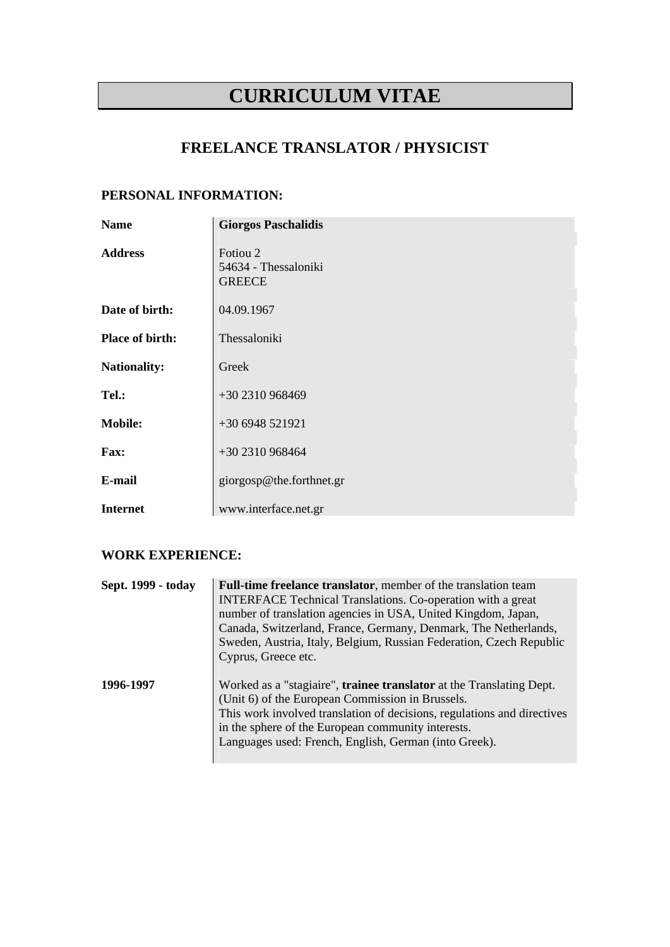# **CURRICULUM VITAE**

# **FREELANCE TRANSLATOR / PHYSICIST**

### **PERSONAL INFORMATION:**

| <b>Name</b>         | <b>Giorgos Paschalidis</b>                        |
|---------------------|---------------------------------------------------|
| <b>Address</b>      | Fotiou 2<br>54634 - Thessaloniki<br><b>GREECE</b> |
| Date of birth:      | 04.09.1967                                        |
| Place of birth:     | Thessaloniki                                      |
| <b>Nationality:</b> | Greek                                             |
| Tel.:               | +30 2310 968469                                   |
| <b>Mobile:</b>      | +30 6948 521921                                   |
| Fax:                | +30 2310 968464                                   |
| E-mail              | giorgosp@the.forthnet.gr                          |
| <b>Internet</b>     | www.interface.net.gr                              |

#### **WORK EXPERIENCE:**

| Sept. 1999 - today | Full-time freelance translator, member of the translation team<br><b>INTERFACE Technical Translations. Co-operation with a great</b><br>number of translation agencies in USA, United Kingdom, Japan,<br>Canada, Switzerland, France, Germany, Denmark, The Netherlands,<br>Sweden, Austria, Italy, Belgium, Russian Federation, Czech Republic<br>Cyprus, Greece etc. |
|--------------------|------------------------------------------------------------------------------------------------------------------------------------------------------------------------------------------------------------------------------------------------------------------------------------------------------------------------------------------------------------------------|
| 1996-1997          | Worked as a "stagiaire", <b>trainee translator</b> at the Translating Dept.<br>(Unit 6) of the European Commission in Brussels.<br>This work involved translation of decisions, regulations and directives<br>in the sphere of the European community interests.<br>Languages used: French, English, German (into Greek).                                              |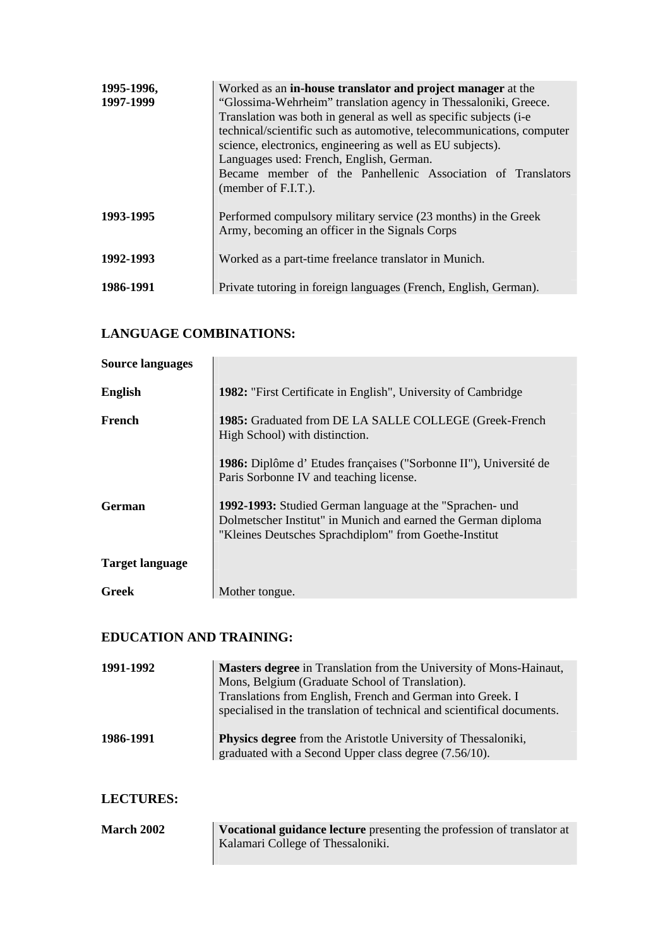| 1995-1996,<br>1997-1999 | Worked as an in-house translator and project manager at the<br>"Glossima-Wehrheim" translation agency in Thessaloniki, Greece.<br>Translation was both in general as well as specific subjects (i-e)<br>technical/scientific such as automotive, telecommunications, computer<br>science, electronics, engineering as well as EU subjects).<br>Languages used: French, English, German.<br>Became member of the Panhellenic Association of Translators<br>(member of F.I.T.). |
|-------------------------|-------------------------------------------------------------------------------------------------------------------------------------------------------------------------------------------------------------------------------------------------------------------------------------------------------------------------------------------------------------------------------------------------------------------------------------------------------------------------------|
| 1993-1995               | Performed compulsory military service (23 months) in the Greek<br>Army, becoming an officer in the Signals Corps                                                                                                                                                                                                                                                                                                                                                              |
| 1992-1993               | Worked as a part-time freelance translator in Munich.                                                                                                                                                                                                                                                                                                                                                                                                                         |
| 1986-1991               | Private tutoring in foreign languages (French, English, German).                                                                                                                                                                                                                                                                                                                                                                                                              |

## **LANGUAGE COMBINATIONS:**

| <b>Source languages</b> |                                                                                                                                                                                           |
|-------------------------|-------------------------------------------------------------------------------------------------------------------------------------------------------------------------------------------|
| <b>English</b>          | <b>1982:</b> "First Certificate in English", University of Cambridge                                                                                                                      |
| French                  | 1985: Graduated from DE LA SALLE COLLEGE (Greek-French<br>High School) with distinction.                                                                                                  |
|                         | 1986: Diplôme d'Etudes françaises ("Sorbonne II"), Université de<br>Paris Sorbonne IV and teaching license.                                                                               |
| German                  | <b>1992-1993:</b> Studied German language at the "Sprachen- und<br>Dolmetscher Institut" in Munich and earned the German diploma<br>"Kleines Deutsches Sprachdiplom" from Goethe-Institut |
| <b>Target language</b>  |                                                                                                                                                                                           |
| <b>Greek</b>            | Mother tongue.                                                                                                                                                                            |

# **EDUCATION AND TRAINING:**

| 1991-1992 | <b>Masters degree</b> in Translation from the University of Mons-Hainaut,<br>Mons, Belgium (Graduate School of Translation).<br>Translations from English, French and German into Greek. I<br>specialised in the translation of technical and scientifical documents. |
|-----------|-----------------------------------------------------------------------------------------------------------------------------------------------------------------------------------------------------------------------------------------------------------------------|
| 1986-1991 | <b>Physics degree</b> from the Aristotle University of Thessaloniki,<br>graduated with a Second Upper class degree (7.56/10).                                                                                                                                         |

## **LECTURES:**

| <b>March 2002</b> | <b>Vocational guidance lecture</b> presenting the profession of translator at |
|-------------------|-------------------------------------------------------------------------------|
|                   | Kalamari College of Thessaloniki.                                             |
|                   |                                                                               |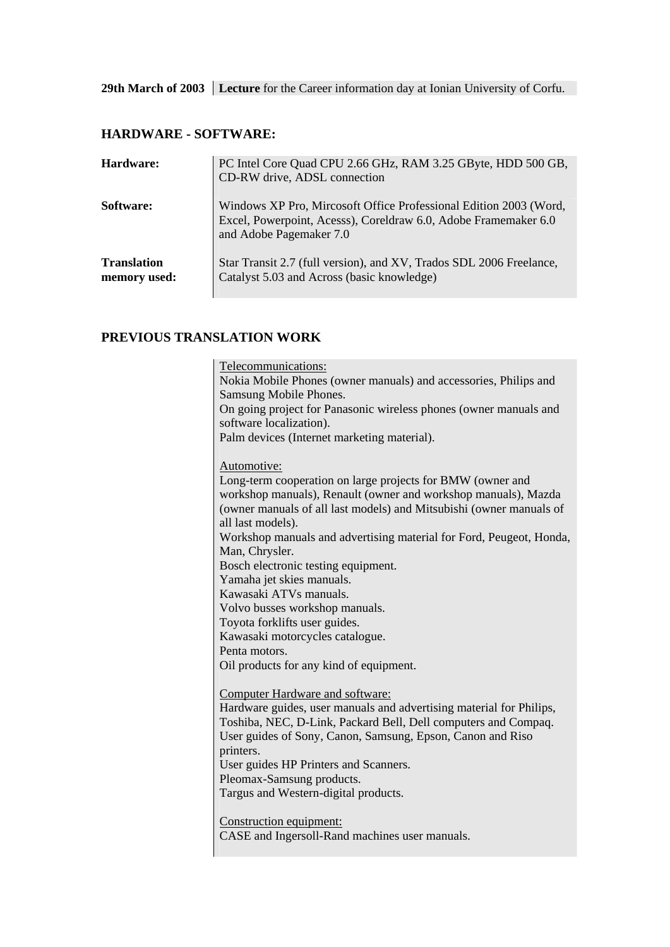29th March of 2003 Lecture for the Career information day at Ionian University of Corfu.

## **HARDWARE - SOFTWARE:**

| Hardware:                          | PC Intel Core Quad CPU 2.66 GHz, RAM 3.25 GByte, HDD 500 GB,<br>CD-RW drive, ADSL connection                                                                    |
|------------------------------------|-----------------------------------------------------------------------------------------------------------------------------------------------------------------|
| Software:                          | Windows XP Pro, Mircosoft Office Professional Edition 2003 (Word,<br>Excel, Powerpoint, Acesss), Coreldraw 6.0, Adobe Framemaker 6.0<br>and Adobe Pagemaker 7.0 |
| <b>Translation</b><br>memory used: | Star Transit 2.7 (full version), and XV, Trados SDL 2006 Freelance,<br>Catalyst 5.03 and Across (basic knowledge)                                               |

### **PREVIOUS TRANSLATION WORK**

| Telecommunications:<br>Nokia Mobile Phones (owner manuals) and accessories, Philips and |
|-----------------------------------------------------------------------------------------|
| Samsung Mobile Phones.                                                                  |
| On going project for Panasonic wireless phones (owner manuals and                       |
| software localization).                                                                 |
| Palm devices (Internet marketing material).                                             |
|                                                                                         |
| Automotive:                                                                             |
| Long-term cooperation on large projects for BMW (owner and                              |
| workshop manuals), Renault (owner and workshop manuals), Mazda                          |
| (owner manuals of all last models) and Mitsubishi (owner manuals of                     |
| all last models).                                                                       |
| Workshop manuals and advertising material for Ford, Peugeot, Honda,                     |
| Man, Chrysler.                                                                          |
| Bosch electronic testing equipment.                                                     |
| Yamaha jet skies manuals.                                                               |
| Kawasaki ATVs manuals.                                                                  |
| Volvo busses workshop manuals.                                                          |
| Toyota forklifts user guides.                                                           |
| Kawasaki motorcycles catalogue.                                                         |
| Penta motors.                                                                           |
| Oil products for any kind of equipment.                                                 |
|                                                                                         |
| <b>Computer Hardware and software:</b>                                                  |
| Hardware guides, user manuals and advertising material for Philips,                     |
| Toshiba, NEC, D-Link, Packard Bell, Dell computers and Compaq.                          |
| User guides of Sony, Canon, Samsung, Epson, Canon and Riso                              |
| printers.                                                                               |
| User guides HP Printers and Scanners.                                                   |
| Pleomax-Samsung products.                                                               |
| Targus and Western-digital products.                                                    |
|                                                                                         |
| Construction equipment:                                                                 |
| CASE and Ingersoll-Rand machines user manuals.                                          |
|                                                                                         |
|                                                                                         |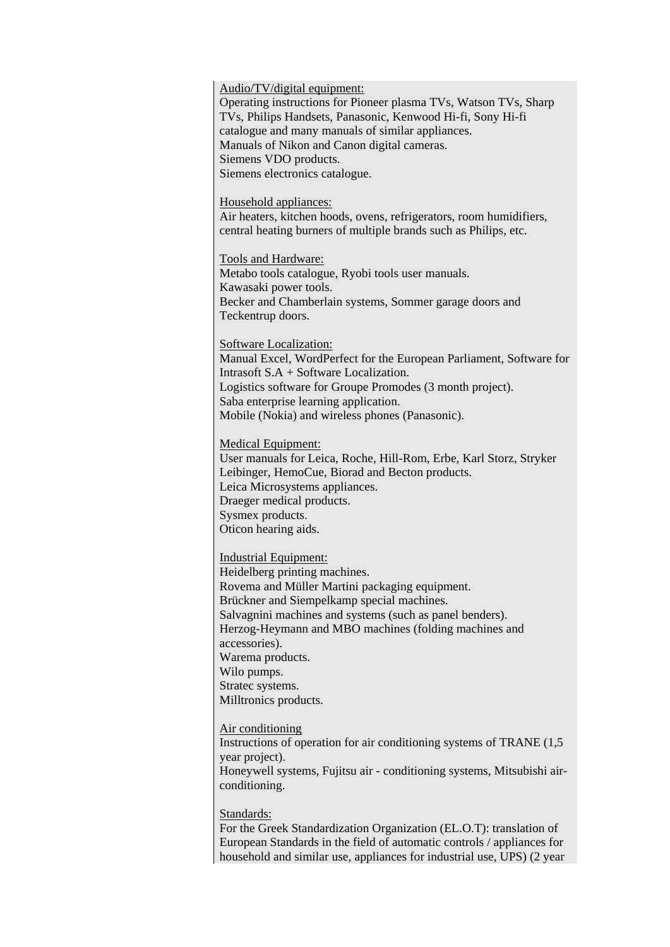Audio/TV/digital equipment:

Operating instructions for Pioneer plasma TVs, Watson TVs, Sharp TVs, Philips Handsets, Panasonic, Kenwood Hi-fi, Sony Hi-fi catalogue and many manuals of similar appliances. Manuals of Nikon and Canon digital cameras. Siemens VDO products. Siemens electronics catalogue.

Household appliances:

Air heaters, kitchen hoods, ovens, refrigerators, room humidifiers, central heating burners of multiple brands such as Philips, etc.

Tools and Hardware: Metabo tools catalogue, Ryobi tools user manuals. Kawasaki power tools.

Becker and Chamberlain systems, Sommer garage doors and Teckentrup doors.

Software Localization:

Manual Excel, WordPerfect for the European Parliament, Software for Intrasoft S.A + Software Localization. Logistics software for Groupe Promodes (3 month project). Saba enterprise learning application. Mobile (Nokia) and wireless phones (Panasonic).

Medical Equipment:

User manuals for Leica, Roche, Hill-Rom, Erbe, Karl Storz, Stryker Leibinger, HemoCue, Biorad and Becton products. Leica Microsystems appliances. Draeger medical products. Sysmex products. Oticon hearing aids.

Industrial Equipment:

Heidelberg printing machines. Rovema and Müller Martini packaging equipment. Brückner and Siempelkamp special machines. Salvagnini machines and systems (such as panel benders). Herzog-Heymann and MBO machines (folding machines and accessories). Warema products. Wilo pumps. Stratec systems. Milltronics products.

Air conditioning

Instructions of operation for air conditioning systems of TRANE (1,5 year project). Honeywell systems, Fujitsu air - conditioning systems, Mitsubishi airconditioning.

Standards:

For the Greek Standardization Organization (EL.O.T): translation of European Standards in the field of automatic controls / appliances for household and similar use, appliances for industrial use, UPS) (2 year